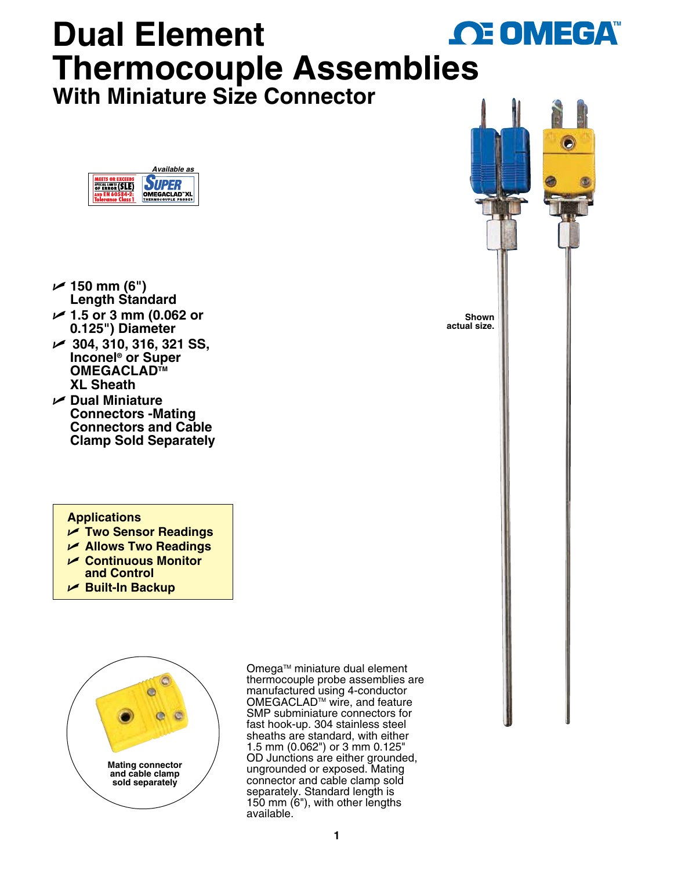## **Dual Element OE OMEGA Thermocouple Assembl[ies](www.omega.com) With Miniature Size Connector**



- $\nu$  150 mm (6") **Length Standard**
- U **1.5 or 3 mm (0.062 or 0.125") Diameter**
- U **304, 310, 316, 321 SS, Inconel® or Super OMEGACLADTM XL Sheath**
- U **Dual Miniature Connectors -Mating Connectors and Cable Clamp Sold Separately**

## **Applications**

- U **Two Sensor Readings**
- **∠ Allows Two Readings**
- U **Continuous Monitor and Control**
- 
- U **Built-In Backup**



Omega™ miniature dual element thermocouple probe assemblies are manufactured using 4-conductor OMEGACLAD™ wire, and feature SMP subminiature connectors for fast hook-up. 304 stainless steel sheaths are standard, with either 1.5 mm (0.062") or 3 mm 0.125" OD Junctions are either grounded, ungrounded or exposed. Mating connector and cable clamp sold separately. Standard length is 150 mm (6"), with other lengths available.